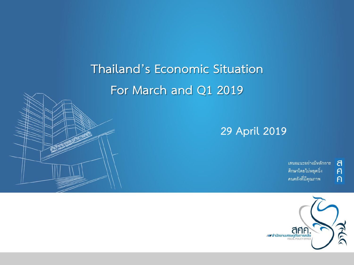**Thailand's Economic Situation For March and Q1 2019** 

### **29 April 2019**

้เสนอแนะอย่างมีหลักการ ศึกษาโดยไม่หยุดนิ่ง คนคลังที่มีคุณภาพ

 $\overline{a}$  $\overline{p}$ 

 $\overline{P}$ 

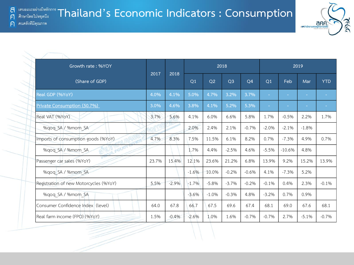**TRAID DES IN THAILAND IS ECONOMIC Indicators : Consumption** 

ิคนคลังที่มีคณภาพ



anf

พิธี สำนักงานเศรษฐก

a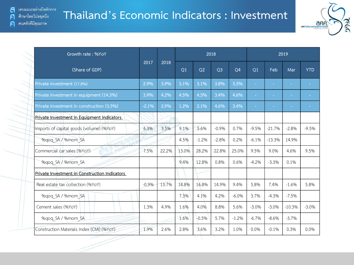## **Thailand's Economic Indicators : Investment**



| Growth rate: %YoY                              |         |       |       |         | 2018           |                | 2019    |          |          |            |  |
|------------------------------------------------|---------|-------|-------|---------|----------------|----------------|---------|----------|----------|------------|--|
| (Share of GDP)                                 | 2017    | 2018  | Q1    | Q2      | Q <sub>3</sub> | Q <sub>4</sub> | Q1      | Feb      | Mar      | <b>YTD</b> |  |
| Private investment (17.8%)                     | 2.9%    | 3.9%  | 3.1%  | 3.1%    | 3.8%           | 5.5%           | $\sim$  | $\sim$   | ٠        |            |  |
| Private investment in equipment (14.3%)        | 3.9%    | 4.2%  | 4.5%  | 4.3%    | 3.4%           | 4.6%           | $\sim$  | $\sim$   | ٠        |            |  |
| Private investment in construction (3.5%)      | $-2.1%$ | 2.9%  | 1.2%  | 2.1%    | 4.6%           | 3.4%           | $\sim$  | $\sim$   | ٠        |            |  |
| Private Investment in Equipment Indicators     |         |       |       |         |                |                |         |          |          |            |  |
| Imports of capital goods (volume) (%YoY)       | 6.3%    | 3.5%  | 9.1%  | 5.6%    | $-0.9%$        | 0.7%           | $-9.5%$ | $-21.7%$ | $-2.8%$  | $-9.5%$    |  |
| %gog SA / %mom SA                              |         |       | 4.5%  | $-1.2%$ | $-2.8%$        | 0.2%           | $-6.1%$ | $-13.3%$ | 14.9%    |            |  |
| <b>15 POLIC</b><br>Commercial car sales (%YoY) | 7.5%    | 22.2% | 13.0% | 28.2%   | 22.8%          | 25.0%          | 9.5%    | 9.0%     | 4.6%     | 9.5%       |  |
| %gog SA / %mom SA                              |         |       | 9.4%  | 12.8%   | 0.8%           | 0.6%           | $-4.2%$ | $-3.3%$  | 0.1%     |            |  |
| Private Investment in Construction Indicators  |         |       |       |         |                |                |         |          |          |            |  |
| Real estate tax collection (%YoY)              | $-0.9%$ | 13.7% | 14.8% | 16.8%   | 14.9%          | 9.4%           | 5.8%    | 7.4%     | $-1.6%$  | 5.8%       |  |
| %qoq SA / %mom SA                              |         |       | 7.3%  | 4.1%    | 4.2%           | $-6.0%$        | 3.7%    | $-4.3%$  | $-7.5%$  |            |  |
| Cement sales (%YoY)                            | 1.3%    | 4.9%  | 1.6%  | 4.0%    | 8.8%           | 5.6%           | $-3.0%$ | $-3.0%$  | $-10.3%$ | $-3.0%$    |  |
| %qoq SA / %mom SA                              |         |       | 1.6%  | $-0.5%$ | 5.7%           | $-1.2%$        | $-6.7%$ | $-8.6\%$ | $-3.7%$  |            |  |
| Construction Materials Index (CMI) (%YoY)      | 1.9%    | 2.6%  | 2.8%  | 3.6%    | 3.2%           | 1.0%           | 0.0%    | $-0.1%$  | 0.3%     | 0.0%       |  |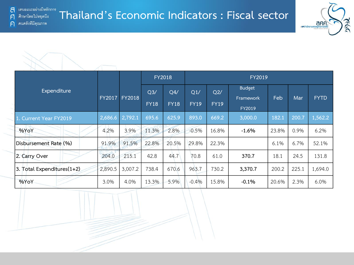F

 $\bigcap$ 

#### **Thailand's Economic Indicators : Fiscal sector** ศึกษาโดยไม่หยุดนีง ิคนคลังที่มีคุณภาพ



|                            |               |               |                    | FY2018             | FY2019             |                    |                                      |       |       |             |  |  |  |  |
|----------------------------|---------------|---------------|--------------------|--------------------|--------------------|--------------------|--------------------------------------|-------|-------|-------------|--|--|--|--|
| Expenditure                | <b>FY2017</b> | <b>FY2018</b> | Q3/<br><b>FY18</b> | Q4/<br><b>FY18</b> | Q1/<br><b>FY19</b> | Q2/<br><b>FY19</b> | <b>Budget</b><br>Framework<br>FY2019 | Feb   | Mar   | <b>FYTD</b> |  |  |  |  |
| 1. Current Year FY2019     | 2,686.6       | 2,792.1       | 695.6              | 625.9              | 893.0              | 669.2              | 3,000.0                              | 182.1 | 200.7 | 1,562.2     |  |  |  |  |
| %YoY                       | 4.2%          | 3.9%          | 11.3%              | 2.8%               | $-0.5%$            | 16.8%              | $-1.6%$                              | 23.8% | 0.9%  | 6.2%        |  |  |  |  |
| Disbursement Rate (%)      | 91.9%         | 91.5%         | 22.8%              | 20.5%              | 29.8%              | 22.3%              |                                      | 6.1%  | 6.7%  | 52.1%       |  |  |  |  |
| 2. Carry Over              | 204.0         | 215.1         | 42.8               | 44.7               | 70.8               | 61.0               | 370.7                                | 18.1  | 24.5  | 131.8       |  |  |  |  |
| 3. Total Expenditures(1+2) | 2,890.5       | 3,007.2       | 738.4              | 670.6              | 963.7              | 730.2              | 3,370.7                              | 200.2 | 225.1 | 1,694.0     |  |  |  |  |
| %YoY                       | 3.0%          | 4.0%          | 13.3%              | 5.9%               | $-0.4%$            | 15.8%              | $-0.1%$                              | 20.6% | 2.3%  | 6.0%        |  |  |  |  |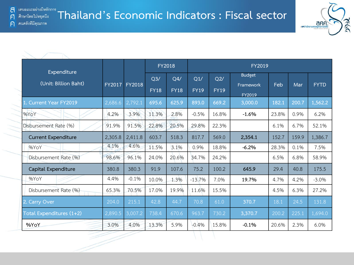F

 $\bigcap$ 



|                                     |               |               |                    | <b>FY2018</b>      | FY2019             |                    |                            |       |       |             |  |  |
|-------------------------------------|---------------|---------------|--------------------|--------------------|--------------------|--------------------|----------------------------|-------|-------|-------------|--|--|
| Expenditure<br>(Unit: Billion Baht) | <b>FY2017</b> | <b>FY2018</b> | Q3/<br><b>FY18</b> | Q4/<br><b>FY18</b> | Q1/<br><b>FY19</b> | Q2/<br><b>FY19</b> | <b>Budget</b><br>Framework | Feb   | Mar   | <b>FYTD</b> |  |  |
| Current Year FY2019                 | 2,686.6       | 2,792.1       | 695.6              | 625.9              | 893.0              | 669.2              | FY2019<br>3,000.0          | 182.1 | 200.7 | 1,562.2     |  |  |
| %YoY                                | 4.2%          | 3.9%          | 11.3%              | 2.8%               | $-0.5%$            | 16.8%              | $-1.6%$                    | 23.8% | 0.9%  | 6.2%        |  |  |
| Disbursement Rate (%)               | 91.9%         | 91.5%         | 22.8%              | 20.5%              | 29.8%              | 22.3%              |                            | 6.1%  | 6.7%  | 52.1%       |  |  |
| <b>Current Expenditure</b>          | 2,305.8       | 2,411.8       | 603.7              | 518.3              | 817.7              | 569.0              | 2,354.1                    | 152.7 | 159.9 | 1,386.7     |  |  |
| %YoY                                | 4.1%          | 4.6%          | 11.5%              | 3.1%               | 0.9%               | 18.8%              | $-6.2%$                    | 28.3% | 0.1%  | 7.5%        |  |  |
| Disbursement Rate (%)               | 98.6%         | 96.1%         | 24.0%              | 20.6%              | 34.7%              | 24.2%              |                            | 6.5%  | 6.8%  | 58.9%       |  |  |
| Capital Expenditure                 | 380.8         | 380.3         | 91.9               | 107.6              | 75.2               | 100.2              | 645.9                      | 29.4  | 40.8  | 175.5       |  |  |
| %YoY                                | 4.4%          | $-0.1%$       | 10.0%              | 1.3%               | $-13.7%$           | 7.0%               | 19.7%                      | 4.7%  | 4.2%  | $-3.0%$     |  |  |
| Disbursement Rate (%)               | 65.3%         | 70.5%         | 17.0%              | 19.9%              | 11.6%              | 15.5%              |                            | 4.5%  | 6.3%  | 27.2%       |  |  |
| 2. Carry Over                       | 204.0         | 215.1         | 42.8               | 44.7               | 70.8               | 61.0               | 370.7                      | 18.1  | 24.5  | 131.8       |  |  |
| Total Expenditures (1+2)            | 2,890.5       | 3,007.2       | 738.4              | 670.6              | 963.7              | 730.2              | 3,370.7                    | 200.2 | 225.1 | 1,694.0     |  |  |
| %YoY                                | 3.0%          | 4.0%          | 13.3%              | 5.9%               | $-0.4%$            | 15.8%              | $-0.1%$                    | 20.6% | 2.3%  | 6.0%        |  |  |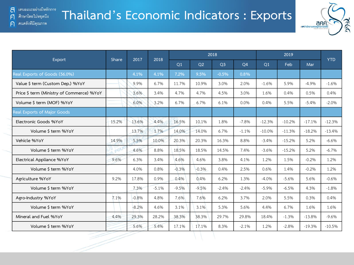$\bigcap$ 

คนคลังที่มีคุณภาพ

## **Thailand's Economic Indicators : Exports**



| Export                                    | <b>Share</b> | 2017    | 2018    |         |         | 2018           |                |          | <b>YTD</b> |          |          |
|-------------------------------------------|--------------|---------|---------|---------|---------|----------------|----------------|----------|------------|----------|----------|
|                                           |              |         |         | Q1      | Q2      | Q <sub>3</sub> | Q <sub>4</sub> | Q1       | <b>Feb</b> | Mar      |          |
| Real Exports of Goods (56.0%)             |              | 4.1%    | 4.1%    | 7.2%    | 9.5%    | $-0.5%$        | 0.8%           |          |            |          |          |
| Value \$ term (Custom Dep.) %YoY          |              | 9.9%    | 6.7%    | 11.7%   | 10.9%   | 3.0%           | 2.0%           | $-1.6%$  | 5.9%       | $-4.9%$  | $-1.6%$  |
| Price \$ term (Ministry of Commerce) %YoY |              | 3.6%    | 3.4%    | 4.7%    | 4.7%    | 4.5%           | 3.0%           | 1.6%     | 0.4%       | 0.5%     | 0.4%     |
| Volume \$ term (MOF) %YoY                 |              | 6.0%    | 3.2%    | 6.7%    | 6.7%    | 6.1%           | 0.0%           | 0.4%     | 5.5%       | $-5.4%$  | $-2.0%$  |
| Real Exports of Major Goods               |              |         |         |         |         |                |                |          |            |          |          |
| Electronic Goods %YoY                     | 15.2%        | 13.6%   | 4.4%    | 16.5%   | 10.1%   | 1.8%           | $-7.8%$        | $-12.3%$ | $-10.2%$   | $-17.1%$ | $-12.3%$ |
| Volume \$ term %YoY                       |              | 13.7%   | 1.7%    | 14.0%   | 14.0%   | 6.7%           | $-1.1%$        | $-10.0%$ | $-11.3%$   | $-18.2%$ | $-13.4%$ |
| Vehicle %YoY                              | 14.9%        | 5.5%    | 10.0%   | 20.3%   | 20.3%   | 16.3%          | 8.8%           | $-3.4%$  | $-15.2%$   | 5.2%     | $-6.6%$  |
| Volume \$ term %YoY                       |              | 4.6%    | 8.8%    | 18.5%   | 18.5%   | 14.5%          | 7.4%           | $-3.6%$  | $-15.2%$   | 5.2%     | $-6.7%$  |
| Electrical Appliance %YoY                 | 9.6%         | 6.3%    | 3.4%    | 4.6%    | 4.6%    | 3.8%           | 4.1%           | 1.2%     | 1.5%       | $-0.2%$  | 1.2%     |
| Volume \$ term %YoY                       |              | 4.0%    | 0.8%    | $-0.3%$ | $-0.3%$ | 0.4%           | 2.5%           | 0.6%     | 1.4%       | $-0.2%$  | 1.2%     |
| Agriculture %YoY                          | 9.2%         | 17.8%   | 0.9%    | 0.4%    | 0.4%    | 6.2%           | 1.3%           | $-4.0%$  | $-5.6%$    | 5.6%     | $-0.6%$  |
| Volume \$ term %YoY                       |              | 7.3%    | $-5.1%$ | $-9.5%$ | $-9.5%$ | $-2.4%$        | $-2.4%$        | $-5.9%$  | $-6.5%$    | 4.3%     | $-1.8%$  |
| Agro-Industry %YoY                        | 7.1%         | $-0.8%$ | 4.8%    | 7.6%    | 7.6%    | 6.2%           | 3.7%           | 2.0%     | 5.5%       | 0.3%     | 0.4%     |
| Volume \$ term %YoY                       |              | $-8.2%$ | 4.6%    | 3.1%    | 3.1%    | 5.3%           | 5.6%           | 4.4%     | 6.7%       | 1.6%     | 1.6%     |
| Mineral and Fuel %YoY                     | 4.4%         | 29.3%   | 28.2%   | 38.3%   | 38.3%   | 29.7%          | 29.8%          | 18.4%    | $-1.3%$    | $-13.8%$ | $-9.6%$  |
| Volume \$ term %YoY                       |              | 5.6%    | 5.4%    | 17.1%   | 17.1%   | 8.3%           | $-2.1%$        | 1.2%     | $-2.8%$    | $-19.3%$ | $-10.5%$ |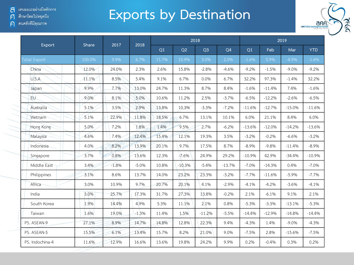ิคนคลังที่มีคุณภาพ  $\bigcap$ 

# **Exports by Destination**



|                     | Share  | 2017    | 2018    |       |          | 2018           |                | 2019     |          |          |            |  |
|---------------------|--------|---------|---------|-------|----------|----------------|----------------|----------|----------|----------|------------|--|
| Export              |        |         |         | Q1    | Q2       | Q <sub>3</sub> | Q <sub>4</sub> | Q1       | Feb      | Mar      | <b>YTD</b> |  |
| <b>Total Export</b> | 100.0% | 9.9%    | 6.7%    | 11.7% | 10.9%    | 3.0%           | 2.0%           | $-1.6%$  | 5.9%     | $-4.9%$  | $-1.6%$    |  |
| China               | 12.0%  | 24.0%   | 2.3%    | 2.6%  | 15.8%    | $-2.8%$        | $-4.6%$        | $-9.2%$  | $-1.5%$  | $-9.0%$  | $-9.2%$    |  |
| U.S.A               | 11.1%  | 8.5%    | 5.4%    | 9.1%  | 6.7%     | 0.0%           | 6.7%           | 32.2%    | 97.3%    | $-1.4%$  | 32.2%      |  |
| Japan               | 9.9%   | 7.7%    | 13.0%   | 24.7% | 11.3%    | 8.7%           | 8.4%           | $-1.6%$  | $-11.4%$ | 7.4%     | $-1.6%$    |  |
| EU                  | 9.0%   | 8.1%    | 5.0%    | 10.6% | 11.2%    | 2.5%           | $-3.7%$        | $-6.5%$  | $-12.2%$ | $-2.6%$  | $-6.5%$    |  |
| Australia           | 5.1%   | 3.5%    | 2.9%    | 13.8% | 10.3%    | $-3.3%$        | $-7.2%$        | $-11.6%$ | $-12.7%$ | $-15.0%$ | $-11.6%$   |  |
| Vietnam             | 5.1%   | 22.9%   | 11.8%   | 18.5% | 6.7%     | 13.1%          | 10.1%          | 6.0%     | 21.1%    | 8.4%     | 6.0%       |  |
| Hong Kong           | 5.0%   | 7.2%    | 1.8%    | 1.4%  | 9.5%     | 2.7%           | $-6.2%$        | $-13.6%$ | $-12.0%$ | $-14.2%$ | $-13.6%$   |  |
| Malaysia            | 4.6%   | 7.4%    | 12.4%   | 15.4% | 12.1%    | 19.3%          | 3.5%           | $-3.2%$  | $-0.2%$  | $-6.6%$  | $-3.2%$    |  |
| Indonesia           | 4.0%   | 8.2%    | 13.9%   | 20.1% | 9.7%     | 17.5%          | 8.7%           | $-8.9%$  | $-9.8%$  | $-11.4%$ | $-8.9%$    |  |
| Singapore           | 3.7%   | 0.8%    | 13.6%   | 12.3% | $-7.6%$  | 24.9%          | 29.2%          | $-10.9%$ | 42.9%    | $-34.4%$ | $-10.9%$   |  |
| Middle East         | 3.4%   | $-1.8%$ | $-5.0%$ | 10.8% | $-10.3%$ | $-5.4%$        | $-13.7%$       | $-7.0%$  | $-14.3%$ | 0.4%     | $-7.0%$    |  |
| Philippines         | 3.1%   | 8.6%    | 13.7%   | 14.0% | 23.2%    | 23.3%          | $-3.2%$        | $-7.7%$  | $-11.6%$ | $-5.9%$  | $-7.7%$    |  |
| Africa              | 3.0%   | 10.9%   | 9.7%    | 20.7% | 20.1%    | 4.1%           | $-2.9%$        | $-4.1%$  | $-4.2%$  | $-3.6%$  | $-4.1%$    |  |
| India               | 3.0%   | 25.7%   | 17.3%   | 31.7% | 27.3%    | 13.8%          | $-0.2%$        | 2.1%     | $-6.1%$  | 9.1%     | 2.1%       |  |
| South Korea         | 1.9%   | 14.4%   | 4.9%    | 5.3%  | 11.1%    | 2.1%           | 0.8%           | $-5.3%$  | $-3.3%$  | $-13.1%$ | $-5.3%$    |  |
| Taiwan              | 1.6%   | 19.0%   | $-1.3%$ | 11.4% | 1.5%     | $-11.2%$       | $-5.5%$        | $-14.4%$ | $-12.9%$ | $-14.8%$ | $-14.4%$   |  |
| PS. ASEAN-9         | 27.1%  | 8.9%    | 14.7%   | 14.8% | 12.8%    | 22.3%          | 9.4%           | $-4.3%$  | 1.4%     | $-9.0%$  | $-4.3%$    |  |
| PS. ASEAN-5         | 15.5%  | 6.1%    | 13.4%   | 15.7% | 8.2%     | 21.0%          | 9.0%           | $-7.5%$  | 2.8%     | $-15.6%$ | $-7.5%$    |  |
| PS. Indochina-4     | 11.6%  | 12.9%   | 16.6%   | 13.6% | 19.8%    | 24.2%          | 9.9%           | 0.2%     | $-0.4%$  | 0.3%     | 0.2%       |  |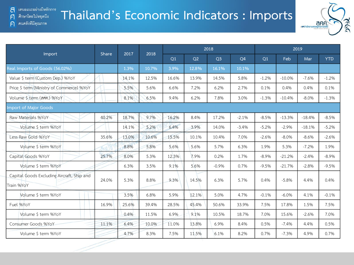คนคลังที่มีคุณภาพ

F

 $\bigcap$ 

### **Thailand's Economic Indicators : Imports** ศึกษาโดยไม่หยุดนี้ง



|                                                          | Share | 2017  | 2018  |       |       | 2018           |                | 2019    |          |          |            |  |
|----------------------------------------------------------|-------|-------|-------|-------|-------|----------------|----------------|---------|----------|----------|------------|--|
| Import                                                   |       |       |       | Q1    | Q2    | Q <sub>3</sub> | Q <sub>4</sub> | Q1      | Feb      | Mar      | <b>YTD</b> |  |
| Real Imports of Goods (56.02%)                           |       | 1.3%  | 10.7% | 3.9%  | 12.8% | 16.1%          | 10.1%          |         |          |          |            |  |
| Value \$ term (Custom Dep.) %YoY                         |       | 14.1% | 12.5% | 16.6% | 13.9% | 14.5%          | 5.8%           | $-1.2%$ | $-10.0%$ | $-7.6%$  | $-1.2%$    |  |
| Price \$ term (Ministry of Commerce) %YoY                |       | 5.5%  | 5.6%  | 6.6%  | 7.2%  | 6.2%           | 2.7%           | 0.1%    | 0.4%     | 0.4%     | 0.1%       |  |
| Volume \$ term (ann.) %YoY                               |       | 8.1%  | 6.5%  | 9.4%  | 6.2%  | 7.8%           | 3.0%           | $-1.3%$ | $-10.4%$ | $-8.0%$  | $-1.3%$    |  |
| <b>Import of Major Goods</b>                             |       |       |       |       |       |                |                |         |          |          |            |  |
| Raw Materials %YoY                                       | 40.2% | 18.7% | 9.7%  | 16.2% | 8.4%  | 17.2%          | $-2.1%$        | $-8.5%$ | $-13.3%$ | $-18.4%$ | $-8.5%$    |  |
| Volume \$ term %YoY                                      |       | 14.1% | 5.2%  | 6.4%  | 3.9%  | 14.0%          | $-3.4%$        | $-5.2%$ | $-2.9%$  | $-18.1%$ | $-5.2%$    |  |
| Less Raw Gold %YoY                                       | 35.6% | 13.0% | 10.6% | 15.5% | 10.1% | 10.4%          | 7.0%           | $-2.6%$ | $-8.0%$  | $-8.6%$  | $-2.6%$    |  |
| Volume \$ term %YoY                                      |       | 8.8%  | 5.8%  | 5.6%  | 5.6%  | 5.7%           | 6.3%           | 1.9%    | 5.3%     | $-7.2%$  | 1.9%       |  |
| Capital Goods %YoY                                       | 25.7% | 8.0%  | 5.3%  | 12.3% | 7.9%  | 0.2%           | 1.7%           | $-8.9%$ | $-21.2%$ | $-2.4%$  | $-8.9%$    |  |
| Volume \$ term %YoY                                      |       | 6.3%  | 3.5%  | 9.1%  | 5.6%  | $-0.9%$        | 0.7%           | $-9.5%$ | $-21.7%$ | $-2.8%$  | $-9.5%$    |  |
| Capital Goods Excluding Aircraft, Ship and<br>Train %YoY | 24.0% | 5.3%  | 8.8%  | 9.3%  | 14.5% | 6.3%           | 5.7%           | 0.4%    | $-5.8%$  | 4.4%     | 0.4%       |  |
| Volume \$ term %YoY                                      |       | 3.5%  | 6.8%  | 5.9%  | 12.1% | 5.0%           | 4.7%           | $-0.1%$ | $-6.0\%$ | 4.1%     | $-0.1%$    |  |
| Fuel %YoY                                                | 16.9% | 25.6% | 39.4% | 28.5% | 45.4% | 50.6%          | 33.9%          | 7.5%    | 17.8%    | 1.5%     | 7.5%       |  |
| Volume \$ term %YoY                                      |       | 0.4%  | 11.5% | 6.9%  | 9.1%  | 10.5%          | 18.7%          | 7.0%    | 15.6%    | $-2.6%$  | 7.0%       |  |
| Consumer Goods %YoY                                      | 11.1% | 6.4%  | 10.0% | 11.0% | 13.8% | 6.9%           | 8.4%           | 0.5%    | $-7.4%$  | 4.4%     | 0.5%       |  |
| Volume \$ term %YoY                                      |       | 4.7%  | 8.3%  | 7.5%  | 11.5% | 6.1%           | 8.2%           | 0.7%    | $-7.3%$  | 4.9%     | 0.7%       |  |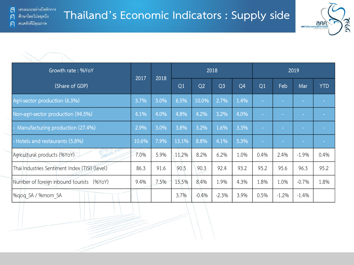

| Growth rate: %YoY                              |       |      |       |                | 2018           |                | 2019   |         |         |            |
|------------------------------------------------|-------|------|-------|----------------|----------------|----------------|--------|---------|---------|------------|
| (Share of GDP)                                 | 2017  | 2018 | Q1    | Q <sub>2</sub> | Q <sub>3</sub> | Q <sub>4</sub> | Q1     | Feb     | Mar     | <b>YTD</b> |
| Agri-sector production (6.3%)                  | 3.7%  | 5.0% | 6.5%  | 10.0%          | 2.7%           | 1.4%           | $\sim$ |         |         |            |
| Non-agri-sector production (94.5%)             | 4.1%  | 4.0% | 4.8%  | 4.2%           | 3.2%           | 4.0%           |        |         |         |            |
| Manufacturing production (27.4%)               | 2.9%  | 3.0% | 3.8%  | 3.2%           | 1.6%           | 3.3%           | $\sim$ |         | $\sim$  |            |
| - Hotels and restaurants (5.8%)                | 10.6% | 7.9% | 13.1% | 8.8%           | 4.1%           | 5.3%           | m.     |         |         |            |
| Agricultural products (%YoY)                   | 7.0%  | 5.9% | 11.2% | 8.2%           | 6.2%           | 1.0%           | 0.4%   | 2.4%    | $-1.9%$ | 0.4%       |
| Thai Industries Sentiment Index (TISI) (level) | 86.3  | 91.6 | 90.5  | 90.3           | 92.4           | 93.2           | 95.2   | 95.6    | 96.3    | 95.2       |
| Number of foreign inbound tourists (%YoY)      | 9.4%  | 7.5% | 15.5% | 8.4%           | 1.9%           | 4.3%           | 1.8%   | 1.0%    | $-0.7%$ | 1.8%       |
| %qoq SA / %mom SA                              |       |      | 3.7%  | $-0.4%$        | $-2.3%$        | 3.9%           | 0.5%   | $-1.2%$ | $-1.4%$ |            |